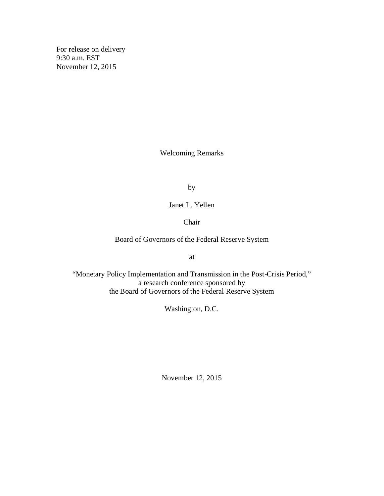For release on delivery 9:30 a.m. EST November 12, 2015

Welcoming Remarks

by

Janet L. Yellen

Chair

Board of Governors of the Federal Reserve System

at

"Monetary Policy Implementation and Transmission in the Post-Crisis Period," a research conference sponsored by the Board of Governors of the Federal Reserve System

Washington, D.C.

November 12, 2015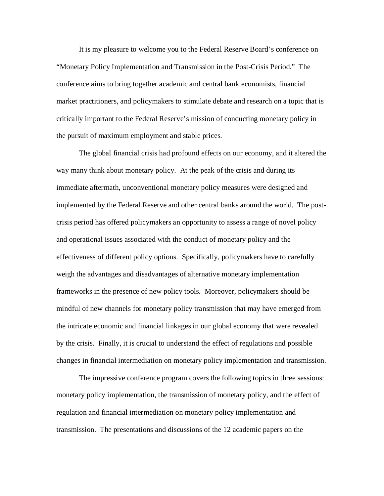It is my pleasure to welcome you to the Federal Reserve Board's conference on "Monetary Policy Implementation and Transmission in the Post-Crisis Period." The conference aims to bring together academic and central bank economists, financial market practitioners, and policymakers to stimulate debate and research on a topic that is critically important to the Federal Reserve's mission of conducting monetary policy in the pursuit of maximum employment and stable prices.

The global financial crisis had profound effects on our economy, and it altered the way many think about monetary policy. At the peak of the crisis and during its immediate aftermath, unconventional monetary policy measures were designed and implemented by the Federal Reserve and other central banks around the world. The postcrisis period has offered policymakers an opportunity to assess a range of novel policy and operational issues associated with the conduct of monetary policy and the effectiveness of different policy options. Specifically, policymakers have to carefully weigh the advantages and disadvantages of alternative monetary implementation frameworks in the presence of new policy tools. Moreover, policymakers should be mindful of new channels for monetary policy transmission that may have emerged from the intricate economic and financial linkages in our global economy that were revealed by the crisis. Finally, it is crucial to understand the effect of regulations and possible changes in financial intermediation on monetary policy implementation and transmission.

The impressive conference program covers the following topics in three sessions: monetary policy implementation, the transmission of monetary policy, and the effect of regulation and financial intermediation on monetary policy implementation and transmission. The presentations and discussions of the 12 academic papers on the